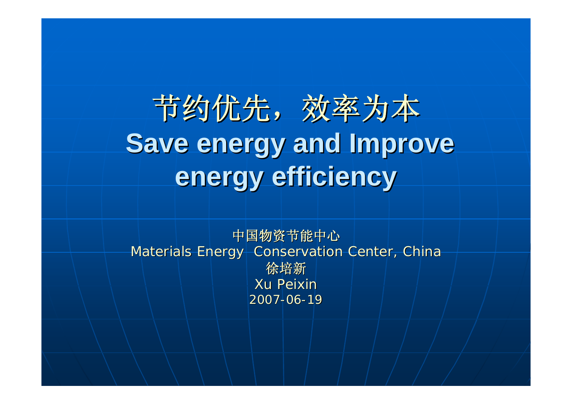节约优先,效率为本 **Save energy and Improve Save energy and Improve energy efficiency energy efficiency**

中国物资节能中心 Materials Energy Conservation Center, China 徐培新 Xu Peixin 2007-06-19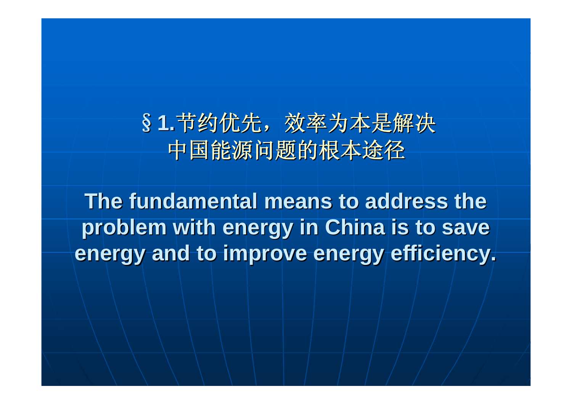### §1.节约优先,效率为本是解决 中国能源问题的根本途径 中国能源问题的根本途径

**The fundamental means to address the problem with energy in China is to save problem with energy in China is to save energy and to improve energy efficiency. energy and to improve energy efficiency.**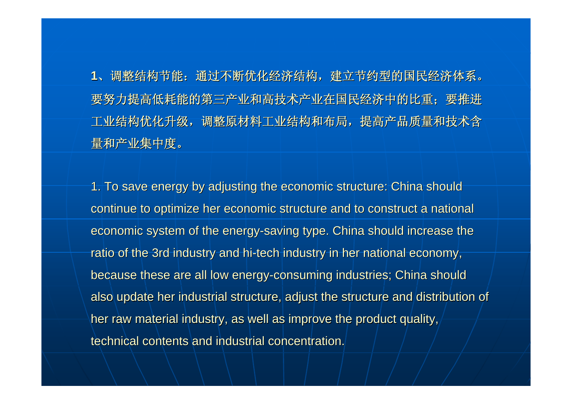**1**、调整结构节能:通过不断优化经济结构,建立节约型的国民经济体系。 要努力提高低耗能的第三产业和高技术产业在国民经济中的比重;要推进 工业结构优化升级,调整原材料工业结构和布局,提高产品质量和技术含 量和产业集中度。

1. To save energy by adjusting the economic structure: China should continue to optimize her economic structure and to construct a national economic system of the energy-saving type. China should increase the ratio of the 3rd industry and hi-tech industry in her national economy, because these are all low energy-consuming industries; China should also update her industrial structure, adjust the structure and distribution of her raw material industry, as well as improve the product quality, technical contents and industrial concentration.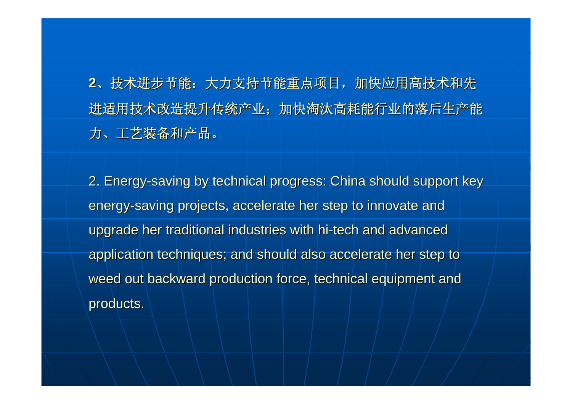**2**、技术进步节能:大力支持节能重点项目,加快应用高技术和先 进适用技术改造提升传统产业;加快淘汰高耗能行业的落后生产能 力、工艺装备和产品。

2. Energy-saving by technical progress: China should support key energy-saving projects, accelerate her step to innovate and upgrade her traditional industries with hi-tech and advanced application techniques; and should also accelerate her step to weed out backward production force, technical equipment and products.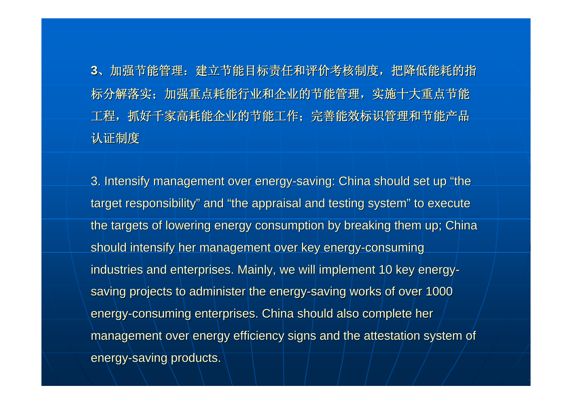**3**、加强节能管理:建立节能目标责任和评价考核制度,把降低能耗的指 标分解落实;加强重点耗能行业和企业的节能管理,实施十大重点节能 工程,抓好千家高耗能企业的节能工作;完善能效标识管理和节能产品 认证制度

3. Intensify management over energy-saving: China should set up "the target responsibility" and "the appraisal and testing system" to execute the targets of lowering energy consumption by breaking them up; China should intensify her management over key energy-consuming industries and enterprises. Mainly, we will implement 10 key energysaving projects to administer the energy-saving works of over 1000 energy-consuming enterprises. China should also complete her management over energy efficiency signs and the attestation system of energy-saving products.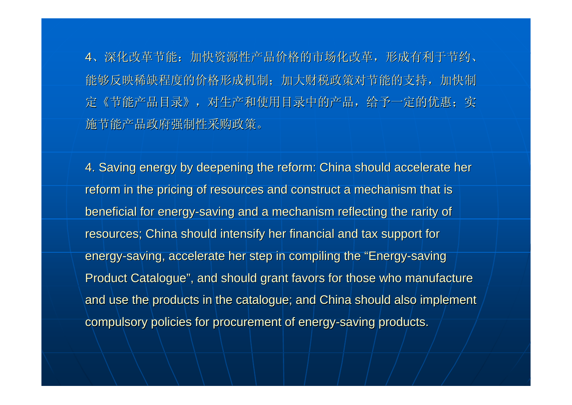4、深化改革节能:加快资源性产品价格的市场化改革,形成有利于节约、 能够反映稀缺程度的价格形成机制;加大财税政策对节能的支持,加快制 定《节能产品目录》,对生产和使用目录中的产品,给予一定的优惠;实 施节能产品政府强制性采购政策。

4. Saving energy by deepening the reform: China should accelerate her reform in the pricing of resources and construct a mechanism that is beneficial for energy-saving and a mechanism reflecting the rarity of resources; China should intensify her financial and tax support for energy-saving, accelerate her step in compiling the "Energy-saving Product Catalogue", and should grant favors for those who manufacture and use the products in the catalogue; and China should also implement compulsory policies for procurement of energy-saving products.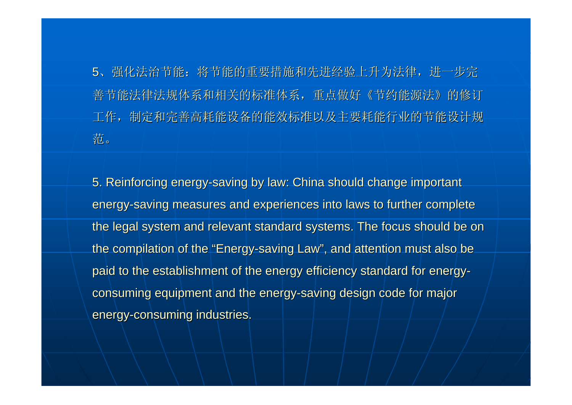5、强化法治节能:将节能的重要措施和先进经验上升为法律,进一步完 善节能法律法规体系和相关的标准体系,重点做好《节约能源法》的修订 工作,制定和完善高耗能设备的能效标准以及主要耗能行业的节能设计规 范。

5. Reinforcing energy-saving by law: China should change important energy-saving measures and experiences into laws to further complete the legal system and relevant standard systems. The focus should be on the compilation of the "Energy-saving Law", and attention must also be paid to the establishment of the energy efficiency standard for energyconsuming equipment and the energy-saving design code for major energy-consuming industries.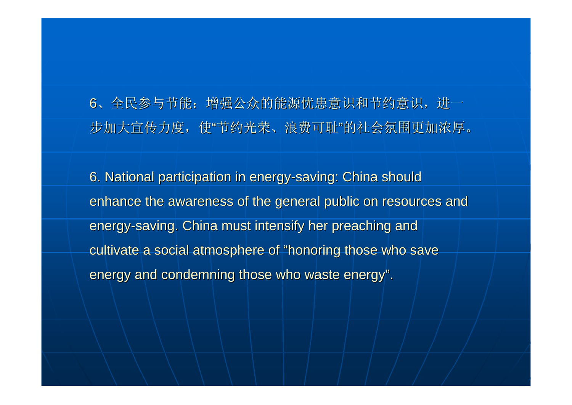6、全民参与节能:增强公众的能源忧患意识和节约意识,进一 步加大宣传力度,使"节约光荣、浪费可耻"的社会氛围更加浓厚。

6. National participation in energy-saving: China should enhance the awareness of the general public on resources and energy-saving. China must intensify her preaching and cultivate a social atmosphere of "honoring those who save energy and condemning those who waste energy".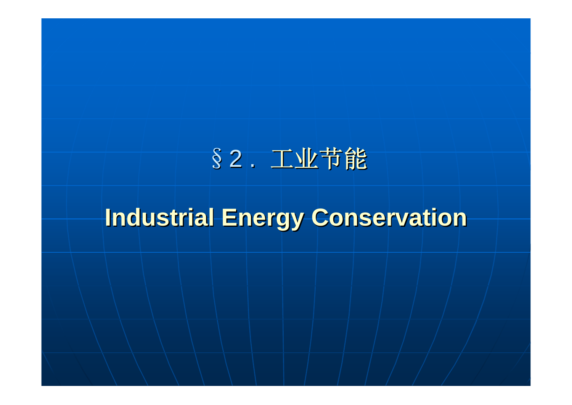## §2 . 工业节能

## **Industrial Energy Conservation Industrial Energy Conservation**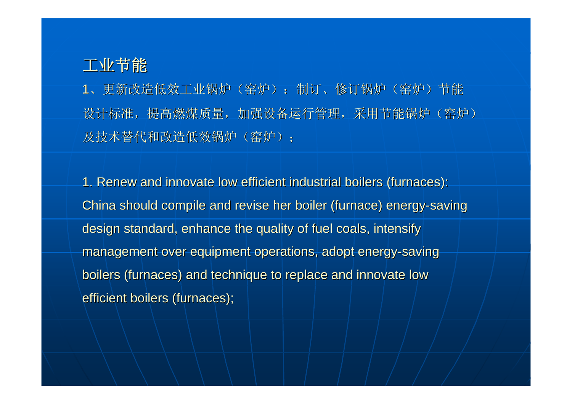#### 工业节能

1、更新改造低效工业锅炉(窑炉):制订、修订锅炉(窑炉)节能 设计标准, 提高燃煤质量, 加强设备运行管理, 采用节能锅炉(窑炉) 及技术替代和改造低效锅炉(窑炉);

1. Renew and innovate low efficient industrial boilers (furnaces): China should compile and revise her boiler (furnace) energy-saving design standard, enhance the quality of fuel coals, intensify management over equipment operations, adopt energy-saving boilers (furnaces) and technique to replace and innovate low efficient boilers (furnaces);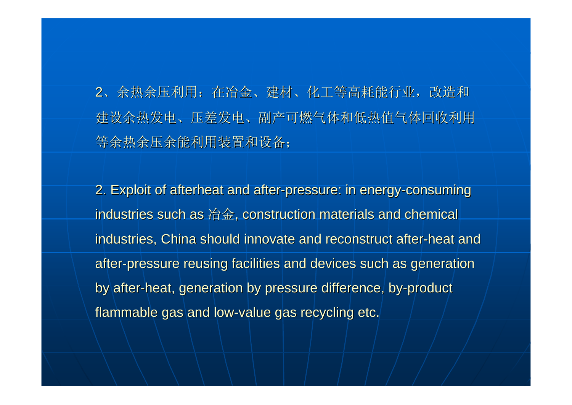2、余热余压利用: 在冶金、建材、化工等高耗能行业, 改造和 建设余热发电、压差发电、副产可燃气体和低热值气体回收利用 等余热余压余能利用装置和设备;

2. Exploit of afterheat and after-pressure: in energy-consuming industries such as 冶金, construction materials and chemical industries, China should innovate and reconstruct after-heat and after-pressure reusing facilities and devices such as generation by after-heat, generation by pressure difference, by-product flammable gas and low-value gas recycling etc.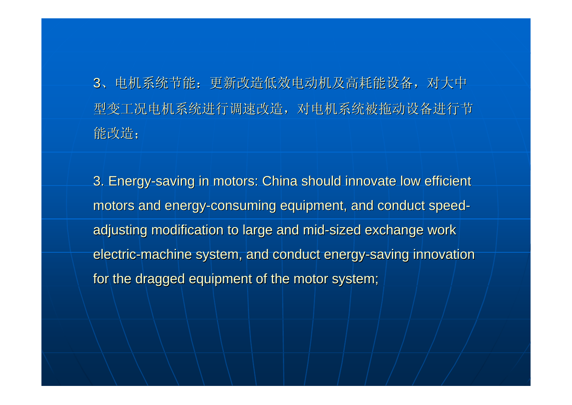3、电机系统节能:更新改造低效电动机及高耗能设备,对大中 型变工况电机系统进行调速改造,对电机系统被拖动设备进行节 能改造;

3. Energy-saving in motors: China should innovate low efficient motors and energy-consuming equipment, and conduct speedadjusting modification to large and mid-sized exchange work electric-machine system, and conduct energy-saving innovation for the dragged equipment of the motor system;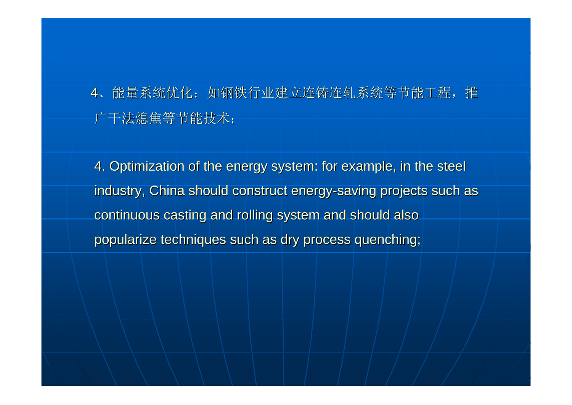4、能量系统优化: 如钢铁行业建立连铸连轧系统等节能工程, 推 广干法熄焦等节能技术;

4. Optimization of the energy system: for example, in the steel industry, China should construct energy-saving projects such as continuous casting and rolling system and should also popularize techniques such as dry process quenching;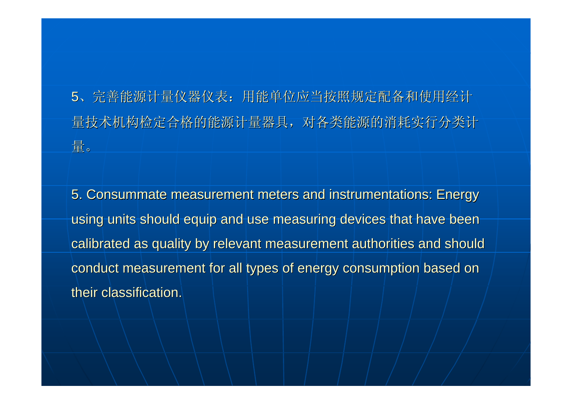5、完善能源计量仪器仪表:用能单位应当按照规定配备和使用经计 量技术机构检定合格的能源计量器具,对各类能源的消耗实行分类计 量。

5. Consummate measurement meters and instrumentations: Energy 5. Consummate measurement meters and instrumentations: Energy using units should equip and use measuring devices that have been calibrated as quality by relevant measurement authorities and should conduct measurement for all types of energy consumption based on their classification.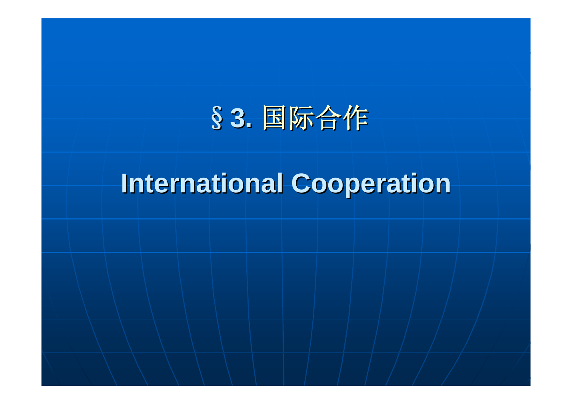# §**3.** 国际合作

# **International Cooperation**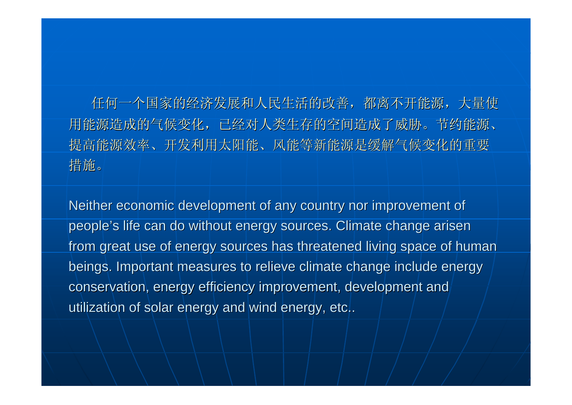任何一个国家的经济发展和人民生活的改善,都离不开能源,大量使 用能源造成的气候变化,已经对人类生存的空间造成了威胁。节约能源、 提高能源效率、开发利用太阳能、风能等新能源是缓解气候变化的重要 措施。

Neither economic development of any country nor improvement of people's life can do without energy sources. Climate change arisen from great use of energy sources has threatened living space of human beings. Important measures to relieve climate change include energy conservation, energy efficiency improvement, development and utilization of solar energy and wind energy, etc..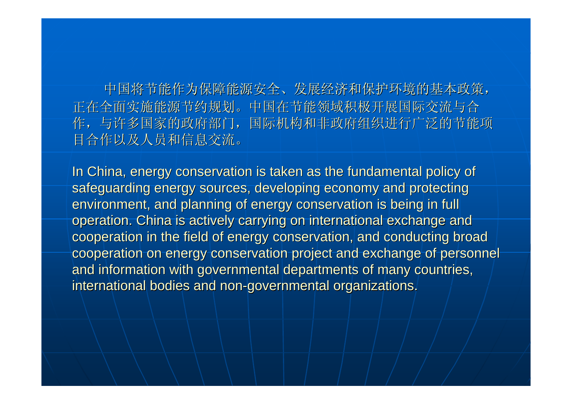中国将节能作为保障能源安全、发展经济和保护环境的基本政策, 正在全面实施能源节约规划。中国在节能领域积极开展国际交流与合 作,与许多国家的政府部门,国际机构和非政府组织进行广泛的节能项 目合作以及人员和信息交流。

In China, energy conservation is taken as the fundamental policy of safeguarding energy sources, developing economy and protecting environment, and planning of energy conservation is being in full operation. China is actively carrying on international exchange and cooperation in the field of energy conservation, and conducting broad cooperation on energy conservation project and exchange of personnel and information with governmental departments of many countries, international bodies and non-governmental organizations.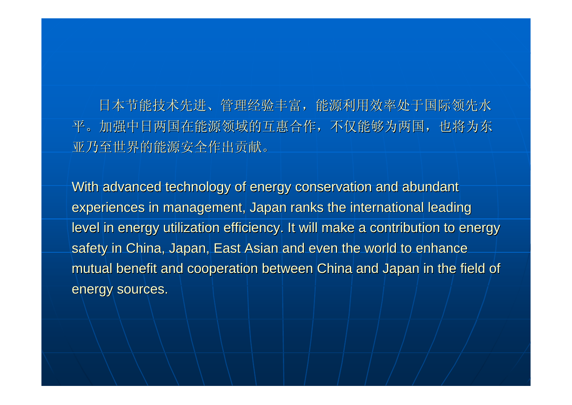日本节能技术先进、管理经验丰富,能源利用效率处于国际领先水 平。加强中日两国在能源领域的互惠合作,不仅能够为两国,也将为东 亚乃至世界的能源安全作出贡献。

With advanced technology of energy conservation and abundant experiences in management, Japan ranks the international leading level in energy utilization efficiency. It will make a contribution to energy safety in China, Japan, East Asian and even the world to enhance mutual benefit and cooperation between China and Japan in the field of energy sources.